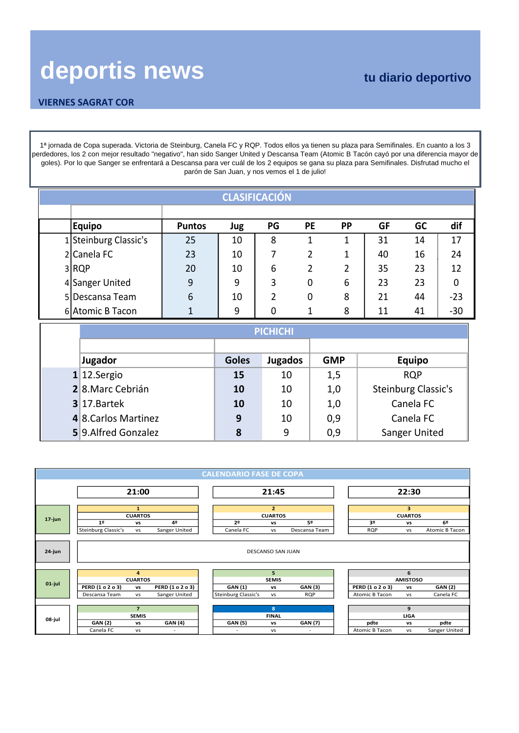### **VIERNES SAGRAT COR**

1ª jornada de Copa superada. Victoria de Steinburg, Canela FC y RQP. Todos ellos ya tienen su plaza para Semifinales. En cuanto a los 3 perdedores, los 2 con mejor resultado "negativo", han sido Sanger United y Descansa Team (Atomic B Tacón cayó por una diferencia mayor de goles). Por lo que Sanger se enfrentará a Descansa para ver cuál de los 2 equipos se gana su plaza para Semifinales. Disfrutad mucho el parón de San Juan, y nos vemos el 1 de julio!

| <b>CLASIFICACIÓN</b>  |               |     |    |                |           |           |    |             |  |  |  |  |  |  |
|-----------------------|---------------|-----|----|----------------|-----------|-----------|----|-------------|--|--|--|--|--|--|
|                       |               |     |    |                |           |           |    |             |  |  |  |  |  |  |
| Equipo                | <b>Puntos</b> | Jug | PG | PE             | <b>PP</b> | <b>GF</b> | GC | dif         |  |  |  |  |  |  |
| 1 Steinburg Classic's | 25            | 10  | 8  | 1              |           | 31        | 14 | 17          |  |  |  |  |  |  |
| 2 Canela FC           | 23            | 10  | 7  | 2              |           | 40        | 16 | 24          |  |  |  |  |  |  |
| 3RQP                  | 20            | 10  | 6  | $\overline{2}$ |           | 35        | 23 | 12          |  |  |  |  |  |  |
| 4 Sanger United       | 9             | 9   | 3  | 0              | 6         | 23        | 23 | $\mathbf 0$ |  |  |  |  |  |  |
| 5 Descansa Team       | 6             | 10  | 2  | 0              | 8         | 21        | 44 | $-23$       |  |  |  |  |  |  |
| 6 Atomic B Tacon      |               | 9   | 0  | 1              | 8         | 11        | 41 | $-30$       |  |  |  |  |  |  |

|                      | <b>PICHICHI</b> |                |            |                      |  |  |  |  |  |  |  |  |  |
|----------------------|-----------------|----------------|------------|----------------------|--|--|--|--|--|--|--|--|--|
|                      |                 |                |            |                      |  |  |  |  |  |  |  |  |  |
| Jugador              | <b>Goles</b>    | <b>Jugados</b> | <b>GMP</b> | <b>Equipo</b>        |  |  |  |  |  |  |  |  |  |
| $1$ 12. Sergio       | 15              | 10             | 1,5        | <b>RQP</b>           |  |  |  |  |  |  |  |  |  |
| 28.Marc Cebrián      | 10              | 10             | 1,0        | Steinburg Classic's  |  |  |  |  |  |  |  |  |  |
| $3$ 17. Bartek       | 10              | 10             | 1,0        | Canela FC            |  |  |  |  |  |  |  |  |  |
| 4 8. Carlos Martinez | 9               | 10             | 0,9        | Canela FC            |  |  |  |  |  |  |  |  |  |
| 5 9. Alfred Gonzalez | 8               | 9              | 0,9        | <b>Sanger United</b> |  |  |  |  |  |  |  |  |  |

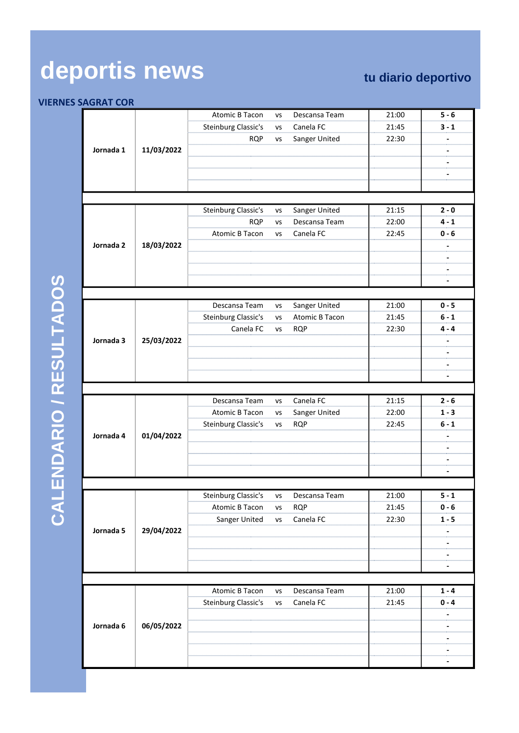### **VIERNES SAGRAT COR**

|           |            | Atomic B Tacon         | <b>VS</b> | Descansa Team  | 21:00          | $5 - 6$ |
|-----------|------------|------------------------|-----------|----------------|----------------|---------|
|           |            | Steinburg Classic's    | VS        | Canela FC      | 21:45          | 3 - 1   |
|           |            | <b>RQP</b>             | VS        | Sanger United  | 22:30          |         |
| Jornada 1 | 11/03/2022 |                        |           |                |                |         |
|           |            |                        |           |                |                |         |
|           |            |                        |           |                |                |         |
|           |            |                        |           |                |                |         |
|           |            |                        |           |                |                |         |
|           |            | Steinburg Classic's    |           | Sanger United  | 21:15          | $2 - 0$ |
|           |            | <b>RQP</b>             | VS        | Descansa Team  |                | 4 - 1   |
|           |            |                        | VS        |                | 22:00          |         |
|           |            | Atomic B Tacon         | VS        | Canela FC      | 22:45          | 0 - 6   |
| Jornada 2 | 18/03/2022 |                        |           |                |                |         |
|           |            |                        |           |                |                |         |
|           |            |                        |           |                |                |         |
|           |            |                        |           |                |                |         |
|           |            |                        |           |                | 21:00          | $0 - 5$ |
|           |            | Descansa Team          | VS        | Sanger United  |                |         |
|           |            | Steinburg Classic's    | VS        | Atomic B Tacon | 21:45<br>22:30 | 6 - 1   |
|           |            | Canela FC              | VS        | <b>RQP</b>     |                | 4 - 4   |
| Jornada 3 | 25/03/2022 |                        |           |                |                |         |
|           |            |                        |           |                |                |         |
|           |            |                        |           |                |                |         |
|           |            |                        |           |                |                |         |
|           |            | Descansa Team          | VS        | Canela FC      | 21:15          | $2 - 6$ |
|           |            | Atomic B Tacon         | VS        | Sanger United  | 22:00          | $1 - 3$ |
|           |            |                        |           |                |                | 6 - 1   |
| Jornada 4 | 01/04/2022 | Steinburg Classic's    | VS        | <b>RQP</b>     | 22:45          |         |
|           |            |                        |           |                |                |         |
|           |            |                        |           |                |                |         |
|           |            |                        |           |                |                |         |
|           |            |                        |           |                |                |         |
|           |            | Steinburg Classic's vs |           | Descansa Team  | 21:00          | $5 - 1$ |
|           |            | Atomic B Tacon         | <b>VS</b> | <b>RQP</b>     | 21:45          | 0 - 6   |
|           |            |                        | VS        | Canela FC      | 22:30          | 1 - 5   |
| Jornada 5 | 29/04/2022 | Sanger United          |           |                |                |         |
|           |            |                        |           |                |                |         |
|           |            |                        |           |                |                |         |
|           |            |                        |           |                |                |         |
|           |            |                        |           |                |                |         |
|           |            | <b>Atomic B Tacon</b>  | <b>VS</b> | Descansa Team  | 21:00          | 1 - 4   |
|           |            | Steinburg Classic's    | VS        | Canela FC      | 21:45          | 0 - 4   |
|           |            |                        |           |                |                |         |
| Jornada 6 | 06/05/2022 |                        |           |                |                |         |
|           |            |                        |           |                |                |         |
|           |            |                        |           |                |                |         |
|           |            |                        |           |                |                |         |
|           |            |                        |           |                |                |         |

CALENDARIO / RESULTADOS **CALENDARIO / RESULTADOS**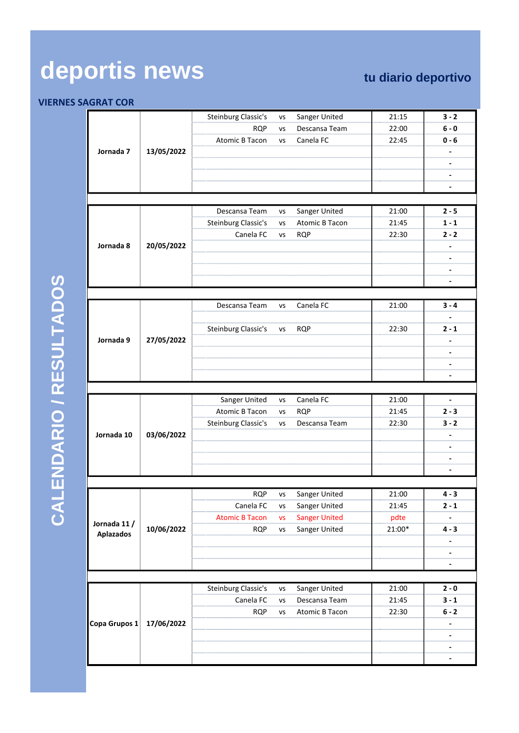### **VIERNES SAGRAT COR**

|                  |            |                                                  | vs        |                                | 21:15                                   | $3 - 2$               |
|------------------|------------|--------------------------------------------------|-----------|--------------------------------|-----------------------------------------|-----------------------|
|                  |            | Steinburg Classic's<br><b>RQP</b>                | <b>VS</b> | Sanger United<br>Descansa Team | 22:00                                   | 6 - 0                 |
|                  |            |                                                  |           |                                |                                         |                       |
|                  |            | Atomic B Tacon                                   | <b>VS</b> | Canela FC                      | 22:45                                   | 0 - 6                 |
| Jornada 7        | 13/05/2022 |                                                  |           |                                |                                         |                       |
|                  |            |                                                  |           |                                |                                         |                       |
|                  |            |                                                  |           |                                |                                         |                       |
|                  |            |                                                  |           |                                |                                         |                       |
|                  |            |                                                  |           |                                |                                         |                       |
|                  |            | Descansa Team                                    | VS        | Sanger United                  | 21:00                                   | $2 - 5$               |
|                  |            | Steinburg Classic's                              | <b>VS</b> | Atomic B Tacon                 | 21:45                                   | $1 - 1$               |
|                  |            | Canela FC                                        | <b>VS</b> | <b>RQP</b>                     | 22:30                                   | 2 - 2                 |
| Jornada 8        | 20/05/2022 |                                                  |           |                                |                                         |                       |
|                  |            |                                                  |           |                                |                                         |                       |
|                  |            |                                                  |           |                                |                                         |                       |
|                  |            |                                                  |           |                                |                                         |                       |
|                  |            |                                                  |           |                                |                                         |                       |
|                  |            |                                                  |           |                                |                                         |                       |
|                  |            | Descansa Team                                    | vs        | Canela FC                      | 21:00                                   | 3 - 4                 |
|                  |            |                                                  |           |                                |                                         |                       |
|                  |            | Steinburg Classic's                              | vs        | <b>RQP</b>                     | 22:30                                   | 2 - 1                 |
| Jornada 9        | 27/05/2022 |                                                  |           |                                |                                         |                       |
|                  |            |                                                  |           |                                |                                         |                       |
|                  |            |                                                  |           |                                |                                         |                       |
|                  |            |                                                  |           |                                |                                         |                       |
|                  |            |                                                  |           |                                |                                         |                       |
|                  |            | Sanger United                                    | <b>VS</b> | Canela FC                      | 21:00                                   | ,,,,,,,,,,,,,,,,,,,,, |
|                  |            | <b>Atomic B Tacon</b>                            | <b>VS</b> | <b>ROP</b>                     | 21:45<br>000000000000000000             | 2 - 3<br>             |
|                  |            | Steinburg Classic's                              | VS        | Descansa Team                  | 22:30                                   | 3 - 2                 |
| Jornada 10       | 03/06/2022 |                                                  |           |                                |                                         |                       |
|                  |            |                                                  |           |                                |                                         |                       |
|                  |            |                                                  |           |                                |                                         |                       |
|                  |            |                                                  |           |                                |                                         |                       |
|                  |            |                                                  |           |                                |                                         |                       |
|                  |            | <b>RQP</b>                                       | <b>VS</b> | Sanger United                  | 21:00                                   | $4 - 3$               |
|                  |            | ,,,,,,,,,,,,,,,,,,,,,,,,,,,,,,<br>Canela FC      | vs        | Sanger United                  | ,,,,,,,,,,,,,,,,,,,,,,,,,,,,,,<br>21:45 | 2 - 1                 |
|                  |            | Atomic B Tacon                                   | VS        | Sanger United                  | pdte                                    |                       |
| Jornada 11 /     | 10/06/2022 | <b>RQP</b>                                       | vs        | Sanger United                  | 21:00*                                  | 4 - 3                 |
| <b>Aplazados</b> |            |                                                  |           |                                |                                         |                       |
|                  |            |                                                  |           |                                |                                         |                       |
|                  |            |                                                  |           |                                |                                         |                       |
|                  |            |                                                  |           |                                |                                         |                       |
|                  |            |                                                  |           |                                |                                         |                       |
|                  |            | <b>Steinburg Classic's</b>                       | vs        | Sanger United                  | 21:00<br>                               | 2 - 0<br>             |
|                  |            | Canela FC                                        | VS<br>    | Descansa Team                  | 21:45<br>                               | 3 - 1                 |
|                  |            | <b>RQP</b><br>,,,,,,,,,,,,,,,,,,,,,,,,,,,,,,,,,, | vs        | Atomic B Tacon                 | 22:30<br>                               | 6 - 2                 |
| Copa Grupos 1    | 17/06/2022 |                                                  |           |                                |                                         |                       |
|                  |            |                                                  |           |                                |                                         |                       |
|                  |            |                                                  |           |                                |                                         |                       |
|                  |            |                                                  |           |                                |                                         |                       |

CALENDARIO / RESULTADOS **CALENDARIO / RESULTADOS**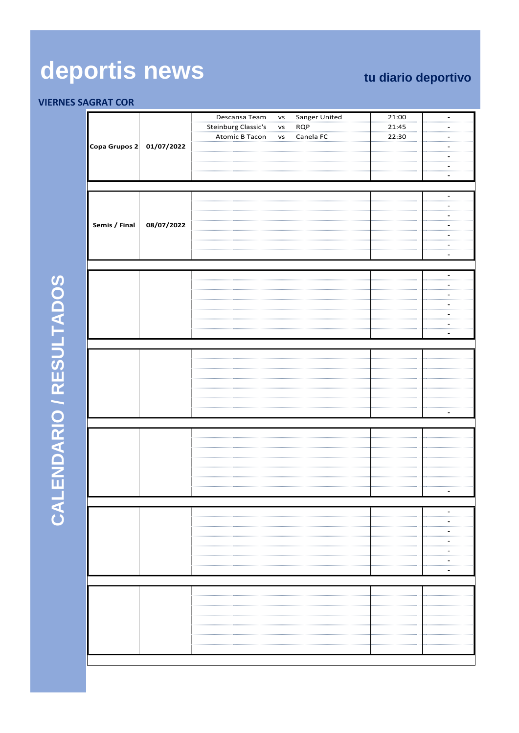|                          |            | Descansa Team              | <b>VS</b> | Sanger United | 21:00 |                                                                       |
|--------------------------|------------|----------------------------|-----------|---------------|-------|-----------------------------------------------------------------------|
|                          |            | <b>Steinburg Classic's</b> | vs        | <b>RQP</b>    | 21:45 |                                                                       |
|                          |            |                            |           |               |       |                                                                       |
|                          |            | <b>Atomic B Tacon</b>      | vs        | Canela FC     | 22:30 |                                                                       |
| Copa Grupos 2 01/07/2022 |            |                            |           |               |       |                                                                       |
|                          |            |                            |           |               |       | mmm                                                                   |
|                          |            |                            |           |               |       | ,,,,,,,,,,                                                            |
|                          |            |                            |           |               |       |                                                                       |
|                          |            |                            |           |               |       |                                                                       |
|                          |            |                            |           |               |       |                                                                       |
|                          |            |                            |           |               |       |                                                                       |
|                          |            |                            |           |               |       |                                                                       |
| Semis / Final            | 08/07/2022 |                            |           |               |       |                                                                       |
|                          |            |                            |           |               |       |                                                                       |
|                          |            |                            |           |               |       |                                                                       |
|                          |            |                            |           |               |       |                                                                       |
|                          |            |                            |           |               |       |                                                                       |
|                          |            |                            |           |               |       |                                                                       |
|                          |            |                            |           |               |       |                                                                       |
|                          |            |                            |           |               |       |                                                                       |
|                          |            |                            |           |               |       |                                                                       |
|                          |            |                            |           |               |       |                                                                       |
|                          |            |                            |           |               |       |                                                                       |
|                          |            |                            |           |               |       |                                                                       |
|                          |            |                            |           |               |       |                                                                       |
|                          |            |                            |           |               |       |                                                                       |
|                          |            |                            |           |               |       |                                                                       |
|                          |            |                            |           |               |       |                                                                       |
|                          |            |                            |           |               |       |                                                                       |
|                          |            |                            |           |               |       |                                                                       |
|                          |            |                            |           |               |       |                                                                       |
|                          |            |                            |           |               |       |                                                                       |
|                          |            |                            |           |               |       |                                                                       |
|                          |            |                            |           |               |       |                                                                       |
|                          |            |                            |           |               |       | $\overline{a}$                                                        |
|                          |            |                            |           |               |       |                                                                       |
|                          |            |                            |           |               |       |                                                                       |
|                          |            |                            |           |               |       |                                                                       |
|                          |            |                            |           |               |       |                                                                       |
|                          |            |                            |           |               |       |                                                                       |
|                          |            |                            |           |               |       |                                                                       |
|                          |            |                            |           |               |       |                                                                       |
|                          |            |                            |           |               |       |                                                                       |
|                          |            |                            |           |               |       |                                                                       |
|                          |            |                            |           |               |       |                                                                       |
|                          |            |                            |           |               |       |                                                                       |
|                          |            |                            |           |               |       |                                                                       |
|                          |            |                            |           |               |       | $\qquad \qquad \blacksquare$<br>,,,,,,,,,,,,,,,,,,,,,,,,,,,,,,,,,,,,, |
|                          |            |                            |           |               |       |                                                                       |
|                          |            |                            |           |               |       |                                                                       |
|                          |            |                            |           |               |       |                                                                       |
|                          |            |                            |           |               |       | $\overline{\phantom{a}}$                                              |
|                          |            |                            |           |               |       |                                                                       |
|                          |            |                            |           |               |       |                                                                       |
|                          |            |                            |           |               |       |                                                                       |
|                          |            |                            |           |               |       |                                                                       |
|                          |            |                            |           |               |       |                                                                       |
|                          |            |                            |           |               |       |                                                                       |
|                          |            |                            |           |               |       |                                                                       |
|                          |            |                            |           |               |       |                                                                       |
|                          |            |                            |           |               |       |                                                                       |
|                          |            |                            |           |               |       |                                                                       |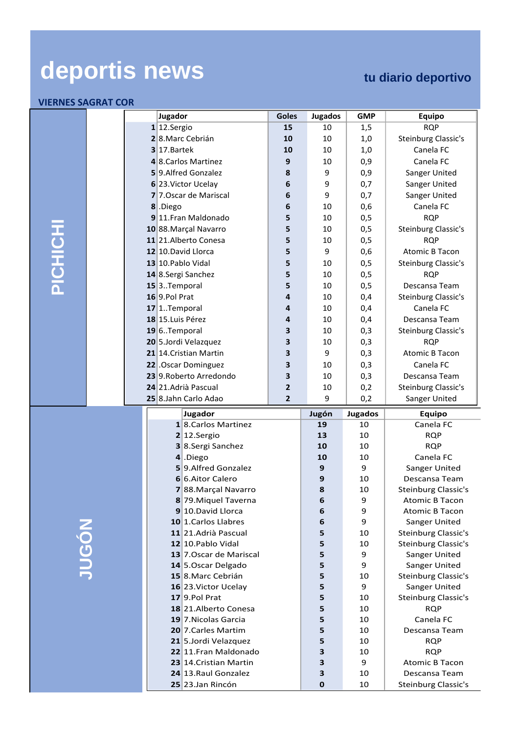|         |  | Jugador                                       | <b>Goles</b> | Jugados | <b>GMP</b>     | Equipo                     |
|---------|--|-----------------------------------------------|--------------|---------|----------------|----------------------------|
|         |  | 1 12.Sergio                                   | 15           | 10      | 1,5            | <b>RQP</b>                 |
|         |  | 28.Marc Cebrián                               | 10           | 10      | 1,0            | Steinburg Classic's        |
|         |  | $3$ 17. Bartek                                | 10           | 10      | 1,0            | Canela FC                  |
|         |  | 4 8. Carlos Martinez                          | 9            | 10      | 0,9            | Canela FC                  |
|         |  | 59.Alfred Gonzalez                            | 8            | 9       | 0,9            | Sanger United              |
|         |  | 6 23. Victor Ucelay                           | 6            | 9       | 0,7            | Sanger United              |
|         |  | 7 7. Oscar de Mariscal                        | 6            | 9       | 0,7            | Sanger United              |
|         |  | 8 .Diego                                      | 6            | 10      | 0,6            | Canela FC                  |
|         |  | 9 11. Fran Maldonado                          | 5            | 10      | 0,5            | <b>RQP</b>                 |
|         |  | 10 88. Marçal Navarro                         | 5            | 10      | 0,5            | Steinburg Classic's        |
| PICHICH |  | 11 21. Alberto Conesa                         | 5            | 10      | 0,5            | <b>RQP</b>                 |
|         |  | 12 10. David Llorca                           | 5            | 9       | 0,6            | <b>Atomic B Tacon</b>      |
|         |  | 13 10. Pablo Vidal                            | 5            | 10      | 0,5            | Steinburg Classic's        |
|         |  | 14 8.Sergi Sanchez                            | 5            | 10      | 0,5            | <b>RQP</b>                 |
|         |  | 15 <sup>3</sup> Temporal                      | 5            | 10      | 0,5            | Descansa Team              |
|         |  | 16 9.Pol Prat                                 | 4            | 10      | 0,4            | Steinburg Classic's        |
|         |  | $17$  1Temporal                               | 4            | 10      | 0,4            | Canela FC                  |
|         |  | 18 15. Luis Pérez                             | 4            | 10      | 0,4            | Descansa Team              |
|         |  | $19 6$ Temporal                               | З            | 10      | 0,3            | Steinburg Classic's        |
|         |  | 20 5.Jordi Velazquez                          | 3            | 10      | 0,3            | <b>RQP</b>                 |
|         |  | 21 14. Cristian Martin                        | 3            | 9       | 0,3            | <b>Atomic B Tacon</b>      |
|         |  | 22 .Oscar Dominguez                           | 3            | 10      | 0,3            | Canela FC                  |
|         |  | 23 9. Roberto Arredondo                       | З            | 10      | 0,3            | Descansa Team              |
|         |  | 24 21. Adrià Pascual                          | 2            | 10      | 0,2            | Steinburg Classic's        |
|         |  | 25 8.Jahn Carlo Adao                          | $\mathbf{2}$ | 9       | 0,2            | Sanger United              |
|         |  | Jugador                                       |              | Jugón   | <b>Jugados</b> | <b>Equipo</b>              |
|         |  |                                               |              |         |                |                            |
|         |  | 18. Carlos Martinez                           |              | 19      | 10             | Canela FC                  |
|         |  | 2 12.Sergio                                   |              | 13      | 10             | <b>RQP</b>                 |
|         |  | 3 8.Sergi Sanchez                             |              | 10      | 10             | <b>RQP</b>                 |
|         |  | 4.Diego                                       |              | 10      | 10             | Canela FC                  |
|         |  | 59.Alfred Gonzalez                            |              | 9       | 9              | Sanger United              |
|         |  | 6 6. Aitor Calero                             |              | 9       | 10             | Descansa Team              |
|         |  | 788. Marçal Navarro                           |              | 8       | 10             | Steinburg Classic's        |
|         |  | 8 79. Miquel Taverna                          |              | 6       | 9              | <b>Atomic B Tacon</b>      |
|         |  | 9 10. David Llorca                            |              | 6       | 9              | <b>Atomic B Tacon</b>      |
|         |  | 10 1. Carlos Llabres                          |              | 6       | 9              | Sanger United              |
|         |  | 11 21. Adrià Pascual                          |              | 5       | 10             | <b>Steinburg Classic's</b> |
|         |  | 12 10. Pablo Vidal                            |              | 5       | 10             | Steinburg Classic's        |
|         |  | 13 7. Oscar de Mariscal                       |              | 5       | 9              | Sanger United              |
|         |  | 14 5. Oscar Delgado                           |              | 5       | 9              | Sanger United              |
| JUGÓN   |  | 15 8. Marc Cebrián                            |              | 5       | 10             | Steinburg Classic's        |
|         |  | 16 23. Victor Ucelay                          |              | 5       | 9              | Sanger United              |
|         |  | $17$ 9.Pol Prat                               |              | 5       | 10             | Steinburg Classic's        |
|         |  | 18 21. Alberto Conesa                         |              | 5       | 10             | <b>RQP</b>                 |
|         |  | 19 7. Nicolas Garcia                          |              | 5       | 10             | Canela FC                  |
|         |  | 20 7. Carles Martim                           |              | 5       | 10<br>10       | Descansa Team              |
|         |  | 21 5.Jordi Velazquez<br>22 11. Fran Maldonado |              | 5<br>3  |                | <b>RQP</b><br><b>RQP</b>   |
|         |  | 23 14. Cristian Martin                        |              | 3       | 10<br>9        | <b>Atomic B Tacon</b>      |
|         |  | 24 13. Raul Gonzalez                          |              | 3       | 10             | Descansa Team              |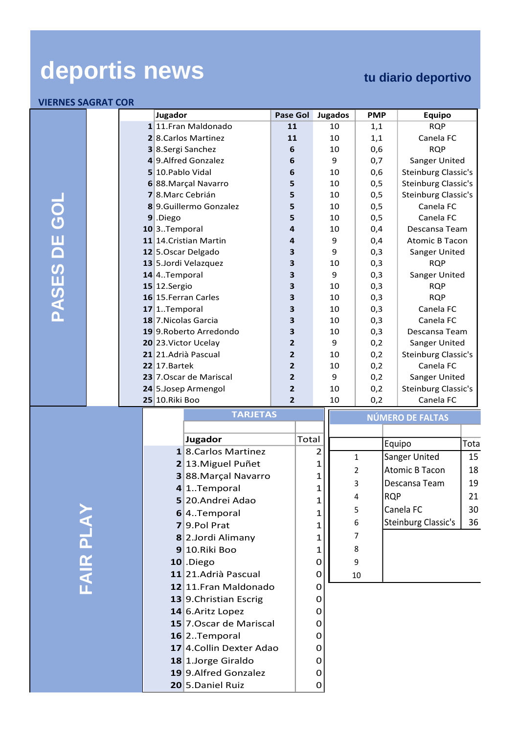| ILINNEJ JAUNAT CUN |                          |                         | Jugador                                     |                         | <b>Pase Gol</b>                |       | <b>Jugados</b> |                 | <b>PMP</b> |            | Equipo                           |       |
|--------------------|--------------------------|-------------------------|---------------------------------------------|-------------------------|--------------------------------|-------|----------------|-----------------|------------|------------|----------------------------------|-------|
|                    |                          |                         |                                             | 1 11. Fran Maldonado    | 11                             |       | 10             |                 | 1,1        |            | <b>RQP</b>                       |       |
|                    |                          |                         |                                             | 2 8. Carlos Martinez    | 11                             |       | 10             |                 | 1,1        |            | Canela FC                        |       |
|                    |                          |                         |                                             | 3 8.Sergi Sanchez       | 6                              |       | 10             |                 | 0,6        |            | <b>RQP</b>                       |       |
|                    |                          |                         |                                             | 4 9. Alfred Gonzalez    | 6                              |       | 9              |                 | 0,7        |            | Sanger United                    |       |
|                    |                          |                         | 5 10. Pablo Vidal                           |                         | 6                              |       | 10             |                 | 0,6        |            | Steinburg Classic's              |       |
|                    |                          |                         |                                             | 6 88. Marçal Navarro    | 5                              |       | 10             |                 | 0,5        |            | Steinburg Classic's              |       |
|                    |                          |                         | 78. Marc Cebrián                            |                         | 5                              |       | 10             |                 | 0,5        |            | Steinburg Classic's              |       |
|                    |                          |                         |                                             | 8 9. Guillermo Gonzalez | 5                              |       | 10             |                 | 0,5        |            | Canela FC                        |       |
|                    |                          |                         | $9$ .Diego                                  |                         | 5                              |       | 10             |                 | 0,5        |            | Canela FC                        |       |
|                    |                          |                         | $10$ <sup>3</sup> Temporal                  |                         | $\overline{\mathbf{4}}$        |       | 10             |                 | 0,4        |            | Descansa Team                    |       |
|                    |                          |                         |                                             | 11 14. Cristian Martin  | 4                              |       | 9              |                 | 0,4        |            | <b>Atomic B Tacon</b>            |       |
|                    |                          |                         |                                             | 12 5. Oscar Delgado     | 3                              |       | 9              |                 | 0,3        |            | Sanger United                    |       |
| PASES DE GOI       |                          |                         |                                             | 13 5.Jordi Velazquez    | 3                              |       | 10             |                 | 0,3        |            | <b>RQP</b>                       |       |
|                    |                          |                         | $14$ <sup>4</sup> Temporal                  |                         | 3                              |       | 9              |                 | 0,3        |            | Sanger United                    |       |
|                    |                          |                         | $15$ 12. Sergio                             |                         | 3                              |       | 10             |                 | 0,3        |            | <b>RQP</b>                       |       |
|                    |                          |                         |                                             | 16 15. Ferran Carles    | 3                              |       | 10             |                 | 0,3        |            | <b>RQP</b>                       |       |
|                    |                          |                         | $17$  1Temporal                             |                         | $\overline{\mathbf{3}}$        |       | 10             |                 | 0,3        |            | Canela FC                        |       |
|                    |                          |                         |                                             | 18 7. Nicolas Garcia    | 3                              |       | 10             |                 | 0,3        |            | Canela FC                        |       |
|                    |                          |                         |                                             | 19 9. Roberto Arredondo | 3                              |       | 10             |                 | 0,3        |            | Descansa Team                    |       |
|                    |                          |                         |                                             | 20 23. Victor Ucelay    | $\mathbf{2}$                   |       | 9              |                 | 0,2        |            | Sanger United                    |       |
|                    |                          |                         |                                             | 21 21. Adrià Pascual    | $\overline{2}$                 |       | 10             |                 | 0,2        |            | Steinburg Classic's              |       |
|                    |                          |                         | $22$  17.Bartek                             | 23 7. Oscar de Mariscal | $\mathbf{2}$<br>$\overline{2}$ |       | 10<br>9        |                 | 0,2        |            | Canela FC                        |       |
|                    |                          |                         |                                             |                         | $\overline{2}$                 |       |                |                 | 0,2<br>0,2 |            | Sanger United                    |       |
|                    |                          |                         | 25 10. Riki Boo                             | 24 5. Josep Armengol    | $\overline{2}$                 |       |                | 10<br>10<br>0,2 |            |            | Steinburg Classic's<br>Canela FC |       |
|                    |                          |                         |                                             | <b>TARJETAS</b>         |                                |       |                |                 |            |            |                                  |       |
|                    |                          |                         |                                             |                         |                                |       |                |                 |            |            | <b>NÚMERO DE FALTAS</b>          |       |
|                    |                          |                         |                                             | Jugador                 |                                | Total |                |                 |            |            | Equipo                           | Total |
|                    |                          |                         |                                             | 18. Carlos Martinez     |                                |       | $\overline{2}$ |                 |            |            |                                  |       |
|                    |                          |                         |                                             | 2 13. Miguel Puñet      |                                |       | $\mathbf{1}$   | $\mathbf{1}$    |            |            | Sanger United                    | 15    |
|                    |                          |                         |                                             | 388. Marçal Navarro     |                                |       | $\mathbf 1$    | 2               |            |            | <b>Atomic B Tacon</b>            | 18    |
|                    |                          |                         |                                             | 4 1. Temporal           |                                |       | $\mathbf{1}$   | 3               |            |            | Descansa Team                    | 19    |
|                    |                          |                         |                                             | 5 20. Andrei Adao       |                                |       | 1              | 4               |            | <b>RQP</b> |                                  | 21    |
|                    |                          |                         |                                             | 6 4. Temporal           |                                |       | 1              | 5               |            |            | Canela FC                        | 30    |
|                    |                          |                         |                                             | 79.Pol Prat             |                                |       | 1              | 6               |            |            | Steinburg Classic's              | 36    |
|                    |                          |                         |                                             | 8 2.Jordi Alimany       |                                |       | 1              | 7               |            |            |                                  |       |
|                    |                          |                         |                                             | 9 10. Riki Boo          |                                |       | 1              | 8               |            |            |                                  |       |
|                    |                          |                         |                                             | $10$ .Diego             |                                |       | 0              | 9               |            |            |                                  |       |
|                    |                          |                         |                                             | 11 21. Adrià Pascual    |                                |       | 0              | 10              |            |            |                                  |       |
| <b>FAIR PLAY</b>   |                          |                         |                                             | 12 11. Fran Maldonado   |                                |       | 0              |                 |            |            |                                  |       |
|                    |                          |                         |                                             |                         |                                |       | 0              |                 |            |            |                                  |       |
|                    |                          |                         | 13 9. Christian Escrig<br>14 6. Aritz Lopez |                         |                                |       | 0              |                 |            |            |                                  |       |
|                    |                          | 15 7. Oscar de Mariscal |                                             |                         |                                |       | 0              |                 |            |            |                                  |       |
|                    | $16$  2Temporal          |                         |                                             |                         |                                |       | 0              |                 |            |            |                                  |       |
|                    | 17 4. Collin Dexter Adao |                         |                                             |                         |                                |       | 0              |                 |            |            |                                  |       |
|                    | 18 1.Jorge Giraldo       |                         |                                             |                         |                                |       | 0              |                 |            |            |                                  |       |
|                    |                          |                         |                                             | 19 9. Alfred Gonzalez   |                                |       | 0              |                 |            |            |                                  |       |
|                    |                          |                         |                                             | 20 5.Daniel Ruiz        |                                |       | $\mathbf{O}$   |                 |            |            |                                  |       |
|                    |                          |                         |                                             |                         |                                |       |                |                 |            |            |                                  |       |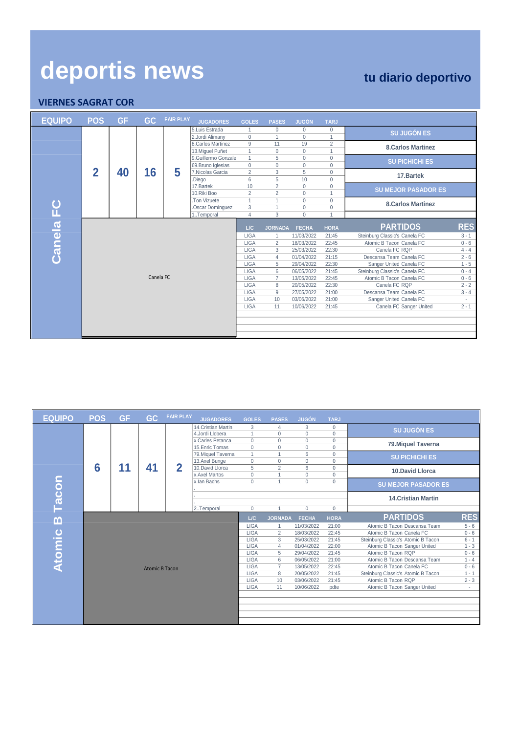| <b>EQUIPO</b> | <b>POS</b>     | GF. | GC.       | <b>FAIR PLAY</b> | <b>JUGADORES</b>         | <b>GOLES</b>               | <b>PASES</b>                     | <b>JUGÓN</b>                 | <b>TARJ</b>       |                                                    |                   |
|---------------|----------------|-----|-----------|------------------|--------------------------|----------------------------|----------------------------------|------------------------------|-------------------|----------------------------------------------------|-------------------|
|               |                |     |           |                  | 5.Luis Estrada           |                            | $\Omega$                         | $\mathbf{0}$                 | 0                 | <b>SU JUGÓN ES</b>                                 |                   |
|               |                |     |           |                  | 2.Jordi Alimany          | 0                          |                                  | $\Omega$                     | 1                 |                                                    |                   |
|               |                |     |           |                  | 8.Carlos Martinez        | 9                          | 11                               | 19                           | $\overline{2}$    | <b>8.Carlos Martinez</b>                           |                   |
|               |                |     |           |                  | 13. Miguel Puñet         | 1                          | $\mathbf 0$                      | $\mathbf{0}$                 | $\overline{1}$    |                                                    |                   |
|               |                |     |           |                  | 9.Guillermo Gonzale      | 1                          | 5                                | $\Omega$                     | $\Omega$          | <b>SU PICHICHI ES</b>                              |                   |
|               |                |     |           |                  | 69. Bruno Iglesias       | $\mathbf{0}$               | 0                                | $\mathbf{0}$                 | $\mathbf{0}$      |                                                    |                   |
|               | $\overline{2}$ | 40  | 16        | 5                | 7. Nicolas Garcia        | $\overline{2}$             | 3                                | 5                            | $\mathbf{0}$      | 17.Bartek                                          |                   |
|               |                |     |           |                  | .Diego                   | 6                          | 5                                | 10                           | $\mathbf{0}$      |                                                    |                   |
|               |                |     |           |                  | 17.Bartek<br>10.Riki Boo | 10<br>$\overline{2}$       | $\overline{2}$<br>$\overline{2}$ | $\mathbf{0}$<br>$\mathbf{0}$ | $\mathbf{0}$<br>x | <b>SU MEJOR PASADOR ES</b>                         |                   |
|               |                |     |           |                  | Ton Vizuete              | 1                          |                                  | $\Omega$                     | $\mathbf{0}$      |                                                    |                   |
|               |                |     |           |                  | .Oscar Dominguez         | 3                          |                                  | $\mathbf{0}$                 | $\mathbf{0}$      | <b>8.Carlos Martinez</b>                           |                   |
| Canela FC     |                |     |           |                  | 1Temporal                | $\overline{4}$             | 3                                | $\mathbf{0}$                 | ×                 |                                                    |                   |
|               |                |     |           |                  |                          |                            |                                  |                              |                   |                                                    |                   |
|               |                |     |           |                  |                          | L/C                        | <b>JORNADA</b>                   | <b>FECHA</b>                 | <b>HORA</b>       | <b>PARTIDOS</b>                                    | <b>RES</b>        |
|               |                |     |           |                  |                          | <b>LIGA</b>                |                                  | 11/03/2022                   | 21:45             | Steinburg Classic's Canela FC                      | $3 - 1$           |
|               |                |     |           |                  |                          | <b>LIGA</b>                | $\overline{2}$                   | 18/03/2022                   | 22:45             | Atomic B Tacon Canela FC                           | $0 - 6$           |
|               |                |     |           |                  |                          | <b>LIGA</b>                | 3                                | 25/03/2022                   | 22:30             | Canela FC ROP                                      | $4 - 4$           |
|               |                |     |           |                  |                          | <b>LIGA</b>                | $\overline{4}$                   | 01/04/2022                   | 21:15             | Descansa Team Canela FC                            | $2 - 6$           |
|               |                |     |           |                  |                          | <b>LIGA</b>                | 5                                | 29/04/2022                   | 22:30             | Sanger United Canela FC                            | $1 - 5$           |
|               |                |     |           |                  |                          | <b>LIGA</b>                | 6                                | 06/05/2022                   | 21:45             | Steinburg Classic's Canela FC                      | $0 - 4$           |
|               |                |     | Canela FC |                  |                          | <b>LIGA</b>                | $\overline{7}$                   | 13/05/2022                   | 22:45             | Atomic B Tacon Canela FC                           | $0 - 6$           |
|               |                |     |           |                  |                          | <b>LIGA</b>                | 8                                | 20/05/2022                   | 22:30             | Canela FC RQP                                      | $2 - 2$           |
|               |                |     |           |                  |                          | <b>LIGA</b><br><b>LIGA</b> | 9<br>10                          | 27/05/2022<br>03/06/2022     | 21:00<br>21:00    | Descansa Team Canela FC<br>Sanger United Canela FC | $3 - 4$           |
|               |                |     |           |                  |                          | <b>LIGA</b>                | 11                               | 10/06/2022                   | 21:45             | Canela FC Sanger United                            | $\sim$<br>$2 - 1$ |
|               |                |     |           |                  |                          |                            |                                  |                              |                   |                                                    |                   |
|               |                |     |           |                  |                          |                            |                                  |                              |                   |                                                    |                   |
|               |                |     |           |                  |                          |                            |                                  |                              |                   |                                                    |                   |
|               |                |     |           |                  |                          |                            |                                  |                              |                   |                                                    |                   |

| <b>EQUIPO</b> | <b>POS</b> | <b>GF</b> | GC.                   | <b>FAIR PLAY</b> | <b>JUGADORES</b>                    | <b>GOLES</b>                 | <b>PASES</b>             | <b>JUGÓN</b>         | <b>TARJ</b>                 |                                    |            |
|---------------|------------|-----------|-----------------------|------------------|-------------------------------------|------------------------------|--------------------------|----------------------|-----------------------------|------------------------------------|------------|
|               |            |           |                       |                  | 14. Cristian Martin                 | 3                            | $\overline{4}$           | 3                    | $\mathbf{0}$                | <b>SU JUGÓN ES</b>                 |            |
|               |            |           |                       |                  | 4.Jordi Llobera                     |                              | $\Omega$                 | $\Omega$             | $\mathbf{0}$                |                                    |            |
|               |            |           |                       |                  | x.Carles Petanca<br>15. Enric Tomas | $\mathbf{0}$<br>$\mathbf{0}$ | $\mathbf{0}$<br>$\Omega$ | $\Omega$<br>$\Omega$ | $\mathbf 0$<br>$\mathbf{0}$ | 79. Miquel Taverna                 |            |
|               |            |           |                       |                  | 79. Miquel Taverna                  | $\overline{1}$               |                          | 6                    | 0                           |                                    |            |
|               |            |           |                       |                  | 13.Axel Bunge                       | $\mathbf{0}$                 | $\mathbf{0}$             | $\Omega$             | $\mathbf{0}$                | <b>SU PICHICHI ES</b>              |            |
|               | 6          | 11        | 41                    | $\overline{2}$   | 10.David Llorca                     | 5                            | $\overline{2}$           | 6                    | $\mathbf 0$                 |                                    |            |
|               |            |           |                       |                  | x.Axel Martos                       | $\mathbf{0}$                 |                          | $\Omega$             | $\mathbf{0}$                | <b>10.David Llorca</b>             |            |
|               |            |           |                       |                  | x.lan Bachs                         | $\mathbf{0}$                 |                          | $\mathbf{0}$         | $\mathbf{0}$                | <b>SU MEJOR PASADOR ES</b>         |            |
|               |            |           |                       |                  |                                     |                              |                          |                      |                             |                                    |            |
| Tacon         |            |           |                       |                  |                                     |                              |                          |                      |                             | <b>14. Cristian Martin</b>         |            |
|               |            |           |                       |                  | 2Temporal                           | $\mathbf{0}$                 |                          | $\mathbf{0}$         | $\mathbf{0}$                |                                    |            |
| $\mathbf{m}$  |            |           |                       |                  |                                     | L/C                          | <b>JORNADA</b>           | <b>FECHA</b>         | <b>HORA</b>                 | <b>PARTIDOS</b>                    | <b>RES</b> |
|               |            |           |                       |                  |                                     | <b>LIGA</b>                  |                          | 11/03/2022           | 21:00                       | Atomic B Tacon Descansa Team       | $5 - 6$    |
| Atomic        |            |           |                       |                  |                                     | <b>LIGA</b>                  | $\overline{2}$           | 18/03/2022           | 22:45                       | Atomic B Tacon Canela FC           | $0 - 6$    |
|               |            |           |                       |                  |                                     | <b>LIGA</b>                  | 3                        | 25/03/2022           | 21:45                       | Steinburg Classic's Atomic B Tacon | $6 - 1$    |
|               |            |           |                       |                  |                                     | <b>LIGA</b>                  | $\overline{4}$           | 01/04/2022           | 22:00                       | Atomic B Tacon Sanger United       | $1 - 3$    |
|               |            |           |                       |                  |                                     | <b>LIGA</b>                  | 5                        | 29/04/2022           | 21:45                       | Atomic B Tacon RQP                 | $0 - 6$    |
|               |            |           |                       |                  |                                     | <b>LIGA</b>                  | 6                        | 06/05/2022           | 21:00                       | Atomic B Tacon Descansa Team       | $1 - 4$    |
|               |            |           | <b>Atomic B Tacon</b> |                  |                                     | <b>LIGA</b>                  | $\overline{7}$           | 13/05/2022           | 22:45                       | Atomic B Tacon Canela FC           | $0 - 6$    |
|               |            |           |                       |                  |                                     | <b>LIGA</b>                  | 8                        | 20/05/2022           | 21:45                       | Steinburg Classic's Atomic B Tacon | $1 - 1$    |
|               |            |           |                       |                  |                                     | <b>LIGA</b>                  | 10                       | 03/06/2022           | 21:45                       | Atomic B Tacon RQP                 | $2 - 3$    |
|               |            |           |                       |                  |                                     | <b>LIGA</b>                  | 11                       | 10/06/2022           | pdte                        | Atomic B Tacon Sanger United       | $\sim$     |
|               |            |           |                       |                  |                                     |                              |                          |                      |                             |                                    |            |
|               |            |           |                       |                  |                                     |                              |                          |                      |                             |                                    |            |
|               |            |           |                       |                  |                                     |                              |                          |                      |                             |                                    |            |
|               |            |           |                       |                  |                                     |                              |                          |                      |                             |                                    |            |
|               |            |           |                       |                  |                                     |                              |                          |                      |                             |                                    |            |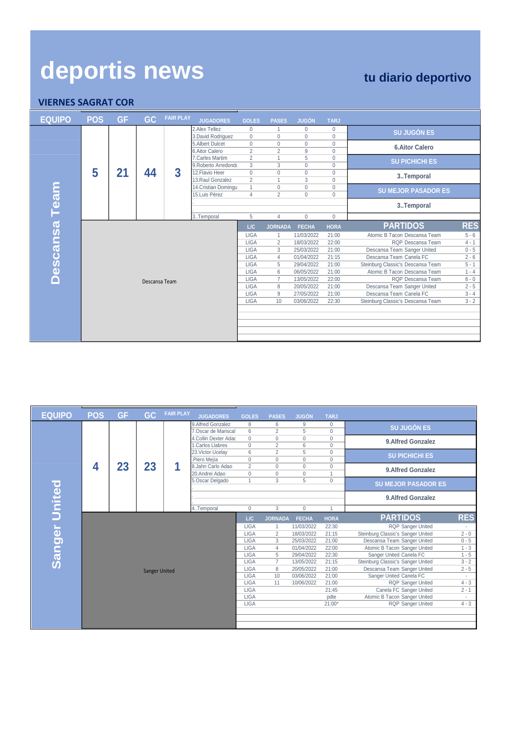| deportis news<br><b>VIERNES SAGRAT COR</b> |            |           |               |                  |                                          |                                |                                |                          |                          | tu diario deportivo                                    |                    |
|--------------------------------------------|------------|-----------|---------------|------------------|------------------------------------------|--------------------------------|--------------------------------|--------------------------|--------------------------|--------------------------------------------------------|--------------------|
| <b>EQUIPO</b>                              | <b>POS</b> | <b>GF</b> | GC            | <b>FAIR PLAY</b> | <b>JUGADORES</b>                         | <b>GOLES</b>                   | <b>PASES</b>                   | <b>JUGÓN</b>             | <b>TARJ</b>              |                                                        |                    |
|                                            |            |           |               |                  | 2. Alex Tellez<br>3. David Rodriguez     | $\mathbf{0}$<br>$\Omega$       | $\overline{1}$<br>$\Omega$     | $\mathbf{0}$<br>$\Omega$ | $\mathbf{0}$<br>$\Omega$ | <b>SU JUGÓN ES</b>                                     |                    |
|                                            |            |           |               |                  | 5. Albert Dulcet<br>6. Aitor Calero      | $\mathbf{0}$<br>$\overline{2}$ | $\Omega$<br>$\overline{2}$     | $\Omega$<br>9            | $\mathbf{0}$<br>$\Omega$ | <b>6.Aitor Calero</b>                                  |                    |
|                                            |            |           |               |                  | 7. Carles Martim<br>9. Roberto Arredondo | 2<br>3                         | $\mathbf{1}$<br>3              | 5<br>$\Omega$            | $\mathbf{0}$<br>$\Omega$ | <b>SU PICHICHI ES</b>                                  |                    |
|                                            | 5          | 21        | 44            | 3                | 12. Flavio Heer<br>13. Raul Gonzalez     | $\mathbf{0}$<br>$\overline{2}$ | $\mathbf{0}$                   | $\mathbf 0$<br>3         | $\mathbf{0}$<br>$\Omega$ | 3Temporal                                              |                    |
|                                            |            |           |               |                  | 14. Cristian Domingu<br>15.Luis Pérez    | $\mathbf{1}$<br>$\overline{4}$ | $\mathbf{0}$<br>$\overline{2}$ | $\Omega$<br>$\Omega$     | $\mathbf 0$<br>$\Omega$  | <b>SU MEJOR PASADOR ES</b>                             |                    |
| Descansa Team                              |            |           |               |                  |                                          |                                |                                |                          |                          | 3Temporal                                              |                    |
|                                            |            |           |               |                  | 3Temporal                                | 5                              | $\overline{4}$                 | $\overline{0}$           | $\Omega$                 |                                                        |                    |
|                                            |            |           |               |                  |                                          | L/C                            | <b>JORNADA</b>                 | <b>FECHA</b>             | <b>HORA</b>              | <b>PARTIDOS</b>                                        | <b>RES</b>         |
|                                            |            |           |               |                  |                                          | <b>LIGA</b>                    | $\mathbf{1}$                   | 11/03/2022               | 21:00                    | Atomic B Tacon Descansa Team                           | $5 - 6$            |
|                                            |            |           |               |                  |                                          | <b>LIGA</b>                    | $\overline{2}$                 | 18/03/2022               | 22:00                    | ROP Descansa Team                                      | $4 - 1$            |
|                                            |            |           |               |                  |                                          | <b>LIGA</b><br><b>LIGA</b>     | 3<br>$\overline{4}$            | 25/03/2022<br>01/04/2022 | 21:00<br>21:15           | Descansa Team Sanger United<br>Descansa Team Canela FC | $0 - 5$<br>$2 - 6$ |
|                                            |            |           |               |                  |                                          | <b>LIGA</b>                    | 5                              | 29/04/2022               | 21:00                    | Steinburg Classic's Descansa Team                      | $5 - 1$            |
|                                            |            |           |               |                  |                                          | <b>LIGA</b>                    | 6                              | 06/05/2022               | 21:00                    | Atomic B Tacon Descansa Team                           | $1 - 4$            |
|                                            |            |           | Descansa Team |                  |                                          | <b>LIGA</b>                    | $\overline{7}$                 | 13/05/2022               | 22:00                    | RQP Descansa Team                                      | $6 - 0$            |
|                                            |            |           |               |                  |                                          | <b>LIGA</b>                    | 8                              | 20/05/2022               | 21:00                    | Descansa Team Sanger United                            | $2 - 5$            |
|                                            |            |           |               |                  |                                          | <b>LIGA</b>                    | 9                              | 27/05/2022               | 21:00                    | Descansa Team Canela FC                                | $3 - 4$            |
|                                            |            |           |               |                  |                                          | <b>LIGA</b>                    | 10 <sup>1</sup>                | 03/06/2022               | 22:30                    | Steinburg Classic's Descansa Team                      | $3 - 2$            |
|                                            |            |           |               |                  |                                          |                                |                                |                          |                          |                                                        |                    |
|                                            |            |           |               |                  |                                          |                                |                                |                          |                          |                                                        |                    |
|                                            |            |           |               |                  |                                          |                                |                                |                          |                          |                                                        |                    |
|                                            |            |           |               |                  |                                          |                                |                                |                          |                          |                                                        |                    |

| <b>EQUIPO</b>        | <b>POS</b> | <b>GF</b> | <b>GC</b>            | <b>FAIR PLAY</b> | <b>JUGADORES</b>                            | <b>GOLES</b>      | <b>PASES</b>                   | <b>JUGÓN</b>  | <b>TARJ</b>                |                                   |            |
|----------------------|------------|-----------|----------------------|------------------|---------------------------------------------|-------------------|--------------------------------|---------------|----------------------------|-----------------------------------|------------|
|                      |            |           |                      |                  | 9.Alfred Gonzalez                           | 8                 | 6                              | 9             | $\mathbf{0}$               | <b>SU JUGÓN ES</b>                |            |
|                      |            |           |                      |                  | 7.Oscar de Mariscal<br>4.Collin Dexter Adac | 6<br>$\mathbf{0}$ | $\overline{2}$<br>$\mathbf{0}$ | 5<br>$\Omega$ | $\Omega$<br>$\overline{0}$ | 9. Alfred Gonzalez                |            |
|                      |            |           |                      |                  | 1. Carlos Llabres                           | $\Omega$          | $\overline{2}$                 | 6             | $\mathbf{0}$               |                                   |            |
|                      |            |           |                      |                  | 23. Victor Ucelav                           | 6                 | $\overline{2}$                 | 5             | $\mathbf 0$                | <b>SU PICHICHI ES</b>             |            |
|                      |            |           |                      |                  | .Piero Mejía                                | $\mathbf 0$       | $\Omega$                       | $\Omega$      | $\mathbf 0$                |                                   |            |
|                      | 4          | 23        | 23                   | 1                | 8.Jahn Carlo Adao                           | $\overline{2}$    | $\mathbf{0}$                   | $\mathbf{0}$  | $\mathbf{0}$               | 9. Alfred Gonzalez                |            |
|                      |            |           |                      |                  | 20.Andrei Adao                              | $\Omega$          | $\Omega$                       | $\Omega$      | 4                          |                                   |            |
|                      |            |           |                      |                  | 5.Oscar Delgado                             |                   | 3                              | 5             | $\mathbf{0}$               | <b>SU MEJOR PASADOR ES</b>        |            |
| <b>Sanger United</b> |            |           |                      |                  |                                             |                   |                                |               |                            | 9. Alfred Gonzalez                |            |
|                      |            |           |                      |                  | 4Temporal                                   | $\mathbf{0}$      | 3                              | $\mathbf{0}$  | 1                          |                                   |            |
|                      |            |           |                      |                  |                                             | L/C               | <b>JORNADA</b>                 | <b>FECHA</b>  | <b>HORA</b>                | <b>PARTIDOS</b>                   | <b>RES</b> |
|                      |            |           |                      |                  |                                             | <b>LIGA</b>       |                                | 11/03/2022    | 22:30                      | <b>RQP Sanger United</b>          | $\sim$     |
|                      |            |           |                      |                  |                                             | <b>LIGA</b>       | 2                              | 18/03/2022    | 21:15                      | Steinburg Classic's Sanger United | $2 - 0$    |
|                      |            |           |                      |                  |                                             | <b>LIGA</b>       | $\overline{3}$                 | 25/03/2022    | 21:00                      | Descansa Team Sanger United       | $0 - 5$    |
|                      |            |           |                      |                  |                                             | <b>LIGA</b>       | $\overline{4}$                 | 01/04/2022    | 22:00                      | Atomic B Tacon Sanger United      | $1 - 3$    |
|                      |            |           |                      |                  |                                             | <b>LIGA</b>       | 5                              | 29/04/2022    | 22:30                      | Sanger United Canela FC           | $1 - 5$    |
|                      |            |           |                      |                  |                                             | <b>LIGA</b>       | $\overline{7}$                 | 13/05/2022    | 21:15                      | Steinburg Classic's Sanger United | $3 - 2$    |
|                      |            |           | <b>Sanger United</b> |                  |                                             | <b>LIGA</b>       | 8                              | 20/05/2022    | 21:00                      | Descansa Team Sanger United       | $2 - 5$    |
|                      |            |           |                      |                  |                                             | <b>LIGA</b>       | 10                             | 03/06/2022    | 21:00                      | Sanger United Canela FC           |            |
|                      |            |           |                      |                  |                                             | <b>LIGA</b>       | 11                             | 10/06/2022    | 21:00                      | <b>RQP</b> Sanger United          | $4 - 3$    |
|                      |            |           |                      |                  |                                             | <b>LIGA</b>       |                                |               | 21:45                      | Canela FC Sanger United           | $2 - 1$    |
|                      |            |           |                      |                  |                                             | <b>LIGA</b>       |                                |               | pdte                       | Atomic B Tacon Sanger United      |            |
|                      |            |           |                      |                  |                                             | <b>LIGA</b>       |                                |               | $21:00*$                   | <b>RQP</b> Sanger United          | $4 - 3$    |
|                      |            |           |                      |                  |                                             |                   |                                |               |                            |                                   |            |
|                      |            |           |                      |                  |                                             |                   |                                |               |                            |                                   |            |
|                      |            |           |                      |                  |                                             |                   |                                |               |                            |                                   |            |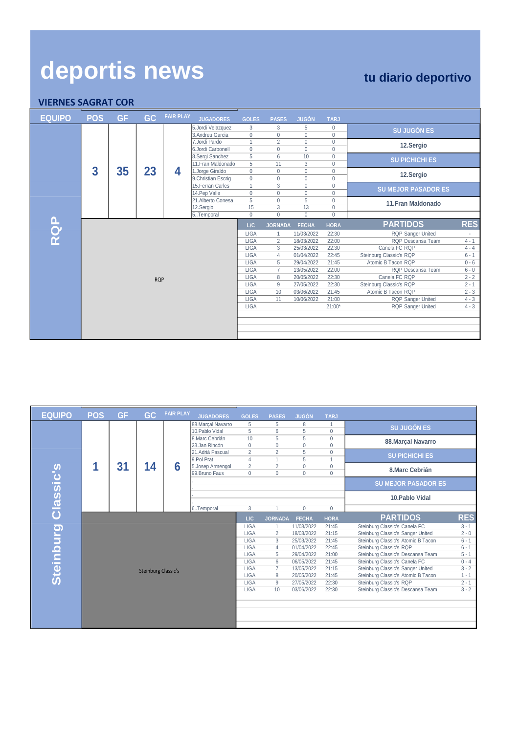| deportis news<br><b>VIERNES SAGRAT COR</b> |            |           |            |                  |                                        |                              |                              |                            |                                     | tu diario deportivo                      |                    |
|--------------------------------------------|------------|-----------|------------|------------------|----------------------------------------|------------------------------|------------------------------|----------------------------|-------------------------------------|------------------------------------------|--------------------|
| <b>EQUIPO</b>                              | <b>POS</b> | <b>GF</b> | GC.        | <b>FAIR PLAY</b> | <b>JUGADORES</b>                       | <b>GOLES</b>                 | <b>PASES</b>                 | <b>JUGÓN</b>               | <b>TARJ</b>                         |                                          |                    |
|                                            |            |           |            |                  | 5.Jordi Velazquez<br>3. Andreu Garcia  | 3<br>$\mathbf{0}$            | 3<br>$\mathbf{0}$            | 5<br>$\Omega$              | $\mathbf 0$<br>$\mathbf 0$          | <b>SU JUGÓN ES</b>                       |                    |
|                                            |            |           |            |                  | 7. Jordi Pardo<br>6.Jordi Carbonell    | $\mathbf{1}$<br>$\Omega$     | $\overline{2}$<br>$\Omega$   | $\Omega$<br>$\Omega$       | $\mathbf{0}$<br>$\mathbf{0}$        | 12.Sergio                                |                    |
|                                            |            |           |            |                  | 8. Sergi Sanchez<br>11. Fran Maldonado | 5<br>5                       | 6<br>11                      | 10<br>3                    | $\mathbf{0}$<br>$\mathbf{0}$        | <b>SU PICHICHI ES</b>                    |                    |
|                                            | 3          | 35        | 23         | 4                | 1.Jorge Giraldo<br>9. Christian Escrig | $\mathbf{0}$<br>$\mathbf{0}$ | $\mathbf{0}$<br>$\mathbf{0}$ | $\mathbf 0$<br>$\mathbf 0$ | $\mathbf{0}$<br>$\mathbf{0}$        | 12.Sergio                                |                    |
|                                            |            |           |            |                  | 15. Ferran Carles<br>14. Pep Valle     | $\mathbf{1}$<br>$\Omega$     | 3<br>$\Omega$                | $\Omega$<br>$\Omega$       | $\mathbf{0}$<br>$\Omega$            | <b>SU MEJOR PASADOR ES</b>               |                    |
|                                            |            |           |            |                  | 21.Alberto Conesa<br>12.Sergio         | 5<br>15                      | $\Omega$<br>$\overline{3}$   | 5<br>13                    | $\mathbf{0}$<br>$\mathsf{O}\xspace$ | 11. Fran Maldonado                       |                    |
|                                            |            |           |            |                  | 5Temporal                              | $\Omega$                     | $\Omega$                     | $\Omega$                   | $\Omega$                            |                                          |                    |
| RQP<br>K                                   |            |           |            |                  |                                        | L/C                          | <b>JORNADA</b>               | <b>FECHA</b>               | <b>HORA</b>                         | <b>PARTIDOS</b>                          | <b>RES</b>         |
|                                            |            |           |            |                  |                                        | <b>LIGA</b>                  |                              | 11/03/2022                 | 22:30                               | <b>RQP Sanger United</b>                 |                    |
|                                            |            |           |            |                  |                                        | <b>LIGA</b>                  | $\overline{2}$               | 18/03/2022                 | 22:00                               | RQP Descansa Team                        | $4 - 1$            |
|                                            |            |           |            |                  |                                        | <b>LIGA</b><br>LIGA          | 3<br>$\overline{4}$          | 25/03/2022<br>01/04/2022   | 22:30<br>22:45                      | Canela FC RQP<br>Steinburg Classic's RQP | $4 - 4$<br>$6 - 1$ |
|                                            |            |           |            |                  |                                        | <b>LIGA</b>                  | 5                            | 29/04/2022                 | 21:45                               | Atomic B Tacon RQP                       | $0 - 6$            |
|                                            |            |           |            |                  |                                        | <b>LIGA</b>                  | $\overline{7}$               | 13/05/2022                 | 22:00                               | RQP Descansa Team                        | $6 - 0$            |
|                                            |            |           | <b>RQP</b> |                  |                                        | <b>LIGA</b>                  | 8                            | 20/05/2022                 | 22:30                               | Canela FC RQP                            | $2 - 2$            |
|                                            |            |           |            |                  |                                        | LIGA                         | 9                            | 27/05/2022                 | 22:30                               | Steinburg Classic's RQP                  | $2 - 1$            |
|                                            |            |           |            |                  |                                        | <b>LIGA</b>                  | 10                           | 03/06/2022                 | 21:45                               | Atomic B Tacon RQP                       | $2 - 3$            |
|                                            |            |           |            |                  |                                        | <b>LIGA</b>                  | 11                           | 10/06/2022                 | 21:00                               | <b>RQP Sanger United</b>                 | $4 - 3$            |
|                                            |            |           |            |                  |                                        | <b>LIGA</b>                  |                              |                            | $21:00*$                            | <b>RQP Sanger United</b>                 | $4 - 3$            |
|                                            |            |           |            |                  |                                        |                              |                              |                            |                                     |                                          |                    |
|                                            |            |           |            |                  |                                        |                              |                              |                            |                                     |                                          |                    |
|                                            |            |           |            |                  |                                        |                              |                              |                            |                                     |                                          |                    |

| <b>EQUIPO</b>       | <b>POS</b>                 | <b>GF</b> | GC | <b>FAIR PLAY</b> | <b>JUGADORES</b>                      | <b>GOLES</b>                     | <b>PASES</b>               | <b>JUGÓN</b>             | <b>TARJ</b>                  |                                                               |                    |
|---------------------|----------------------------|-----------|----|------------------|---------------------------------------|----------------------------------|----------------------------|--------------------------|------------------------------|---------------------------------------------------------------|--------------------|
|                     |                            |           |    |                  | 88. Marcal Navarro<br>10. Pablo Vidal | 5<br>5                           | 5<br>6                     | 8<br>5                   | -1<br>$\mathbf 0$            | <b>SU JUGÓN ES</b>                                            |                    |
|                     |                            |           |    |                  | 8.Marc Cebrián<br>23.Jan Rincón       | 10<br>$\mathbf 0$                | 5<br>$\mathbf 0$           | 5<br>$\mathbf{0}$        | $\mathbf 0$<br>$\mathbf 0$   | 88. Marçal Navarro                                            |                    |
|                     |                            |           |    |                  | 21.Adrià Pascual<br>9.Pol Prat        | $\overline{2}$<br>$\overline{4}$ | $\overline{2}$             | 5<br>5                   | $\mathbf 0$<br>1             | <b>SU PICHICHI ES</b>                                         |                    |
|                     | 1                          | 31        | 14 | 6                | 5.Josep Armengol<br>99. Bruno Faus    | $\overline{2}$<br>$\mathbf{0}$   | $\overline{2}$<br>$\Omega$ | $\mathbf{0}$<br>$\Omega$ | $\mathbf{0}$<br>$\mathbf{0}$ | 8.Marc Cebrián                                                |                    |
| Steinburg Classic's |                            |           |    |                  |                                       |                                  |                            |                          |                              | <b>SU MEJOR PASADOR ES</b>                                    |                    |
|                     |                            |           |    |                  |                                       |                                  |                            |                          |                              | 10. Pablo Vidal                                               |                    |
|                     |                            |           |    |                  | 6Temporal                             | 3                                |                            | $\Omega$                 | $\Omega$                     |                                                               |                    |
|                     |                            |           |    |                  |                                       | L/C                              | <b>JORNADA</b>             | <b>FECHA</b>             | <b>HORA</b>                  | <b>PARTIDOS</b>                                               | <b>RES</b>         |
|                     |                            |           |    |                  |                                       | <b>LIGA</b>                      | $\mathbf{1}$               | 11/03/2022               | 21:45                        | Steinburg Classic's Canela FC                                 | $3 - 1$            |
|                     |                            |           |    |                  |                                       | <b>LIGA</b>                      | $\overline{2}$             | 18/03/2022               | 21:15                        | Steinburg Classic's Sanger United                             | $2 - 0$            |
|                     |                            |           |    |                  |                                       | <b>LIGA</b>                      | 3                          | 25/03/2022               | 21:45                        | Steinburg Classic's Atomic B Tacon                            | $6 - 1$            |
|                     |                            |           |    |                  |                                       | <b>LIGA</b>                      | $\overline{4}$             | 01/04/2022               | 22:45                        | Steinburg Classic's RQP                                       | $6 - 1$            |
|                     |                            |           |    |                  |                                       | <b>LIGA</b>                      | 5                          | 29/04/2022               | 21:00                        | Steinburg Classic's Descansa Team                             | $5 - 1$            |
|                     | <b>Steinburg Classic's</b> |           |    |                  |                                       | <b>LIGA</b>                      | 6                          | 06/05/2022               | 21:45                        | Steinburg Classic's Canela FC                                 | $0 - 4$            |
|                     |                            |           |    |                  |                                       | <b>LIGA</b><br><b>LIGA</b>       | $\overline{7}$             | 13/05/2022               | 21:15                        | Steinburg Classic's Sanger United                             | $3 - 2$            |
|                     |                            |           |    |                  |                                       |                                  | 8<br>$9\,$                 | 20/05/2022<br>27/05/2022 | 21:45<br>22:30               | Steinburg Classic's Atomic B Tacon<br>Steinburg Classic's RQP | $1 - 1$<br>$2 - 1$ |
|                     |                            |           |    |                  |                                       | <b>LIGA</b><br><b>LIGA</b>       | 10                         | 03/06/2022               | 22:30                        | Steinburg Classic's Descansa Team                             | $3 - 2$            |
|                     |                            |           |    |                  |                                       |                                  |                            |                          |                              |                                                               |                    |
|                     |                            |           |    |                  |                                       |                                  |                            |                          |                              |                                                               |                    |
|                     |                            |           |    |                  |                                       |                                  |                            |                          |                              |                                                               |                    |
|                     |                            |           |    |                  |                                       |                                  |                            |                          |                              |                                                               |                    |
|                     |                            |           |    |                  |                                       |                                  |                            |                          |                              |                                                               |                    |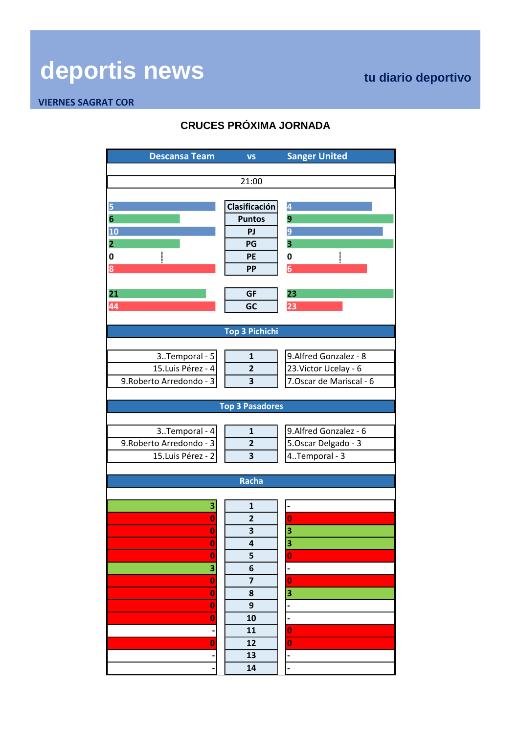### **VIERNES SAGRAT COR**

## **CRUCES PRÓXIMA JORNADA**

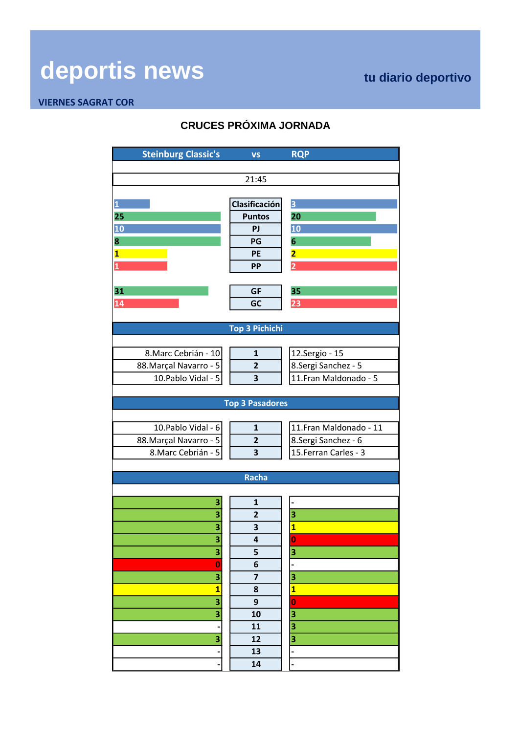### **VIERNES SAGRAT COR**

## **CRUCES PRÓXIMA JORNADA**

| <b>Steinburg Classic's</b> | <b>VS</b>               | <b>RQP</b>              |  |  |  |  |  |  |  |  |
|----------------------------|-------------------------|-------------------------|--|--|--|--|--|--|--|--|
|                            |                         |                         |  |  |  |  |  |  |  |  |
|                            | 21:45                   |                         |  |  |  |  |  |  |  |  |
|                            |                         |                         |  |  |  |  |  |  |  |  |
| $\overline{\mathbf{1}}$    | Clasificación           | $\overline{\mathbf{3}}$ |  |  |  |  |  |  |  |  |
| 25                         | <b>Puntos</b>           | 20                      |  |  |  |  |  |  |  |  |
| 10                         | PJ                      | 10                      |  |  |  |  |  |  |  |  |
| 8                          | PG                      | $6\phantom{1}$          |  |  |  |  |  |  |  |  |
| $\overline{\mathbf{1}}$    | <b>PE</b>               | $\overline{\mathbf{2}}$ |  |  |  |  |  |  |  |  |
| $\mathbf{1}$               | <b>PP</b>               | $\overline{2}$          |  |  |  |  |  |  |  |  |
|                            |                         |                         |  |  |  |  |  |  |  |  |
| 31                         | <b>GF</b>               | 35                      |  |  |  |  |  |  |  |  |
| 14                         | GC                      | 23                      |  |  |  |  |  |  |  |  |
|                            |                         |                         |  |  |  |  |  |  |  |  |
|                            | <b>Top 3 Pichichi</b>   |                         |  |  |  |  |  |  |  |  |
|                            |                         |                         |  |  |  |  |  |  |  |  |
| 8. Marc Cebrián - 10       | $\mathbf{1}$            | 12.Sergio - 15          |  |  |  |  |  |  |  |  |
| 88. Marçal Navarro - 5     | $\mathbf{2}$            | 8. Sergi Sanchez - 5    |  |  |  |  |  |  |  |  |
| 10. Pablo Vidal - 5        | 3                       | 11. Fran Maldonado - 5  |  |  |  |  |  |  |  |  |
|                            |                         |                         |  |  |  |  |  |  |  |  |
| <b>Top 3 Pasadores</b>     |                         |                         |  |  |  |  |  |  |  |  |
|                            |                         |                         |  |  |  |  |  |  |  |  |
| 10. Pablo Vidal - 6        | $\mathbf{1}$            | 11. Fran Maldonado - 11 |  |  |  |  |  |  |  |  |
| 88. Marçal Navarro - 5     | $\overline{\mathbf{c}}$ | 8. Sergi Sanchez - 6    |  |  |  |  |  |  |  |  |
| 8. Marc Cebrián - 5        | 3                       | 15. Ferran Carles - 3   |  |  |  |  |  |  |  |  |
|                            |                         |                         |  |  |  |  |  |  |  |  |
| <b>Racha</b>               |                         |                         |  |  |  |  |  |  |  |  |
|                            |                         |                         |  |  |  |  |  |  |  |  |
| 3                          | $\mathbf{1}$            |                         |  |  |  |  |  |  |  |  |
| 3                          | $\overline{2}$          | 3                       |  |  |  |  |  |  |  |  |
| 3                          | 3                       | $\overline{\mathbf{1}}$ |  |  |  |  |  |  |  |  |
| З                          | 4                       | $\bf{0}$                |  |  |  |  |  |  |  |  |
| 3                          | 5                       | 3                       |  |  |  |  |  |  |  |  |
| $\bf{0}$                   | 6                       |                         |  |  |  |  |  |  |  |  |
| 3                          | $\overline{\mathbf{z}}$ | 3                       |  |  |  |  |  |  |  |  |
| $\overline{\mathbf{1}}$    | 8                       | $\overline{\mathbf{1}}$ |  |  |  |  |  |  |  |  |
| $\overline{\mathbf{3}}$    | 9                       | $\mathbf 0$             |  |  |  |  |  |  |  |  |
| 3                          | 10                      | 3                       |  |  |  |  |  |  |  |  |
|                            | 11                      | 3                       |  |  |  |  |  |  |  |  |
| 3                          | 12                      | 3                       |  |  |  |  |  |  |  |  |
|                            | 13                      |                         |  |  |  |  |  |  |  |  |
|                            | 14                      |                         |  |  |  |  |  |  |  |  |